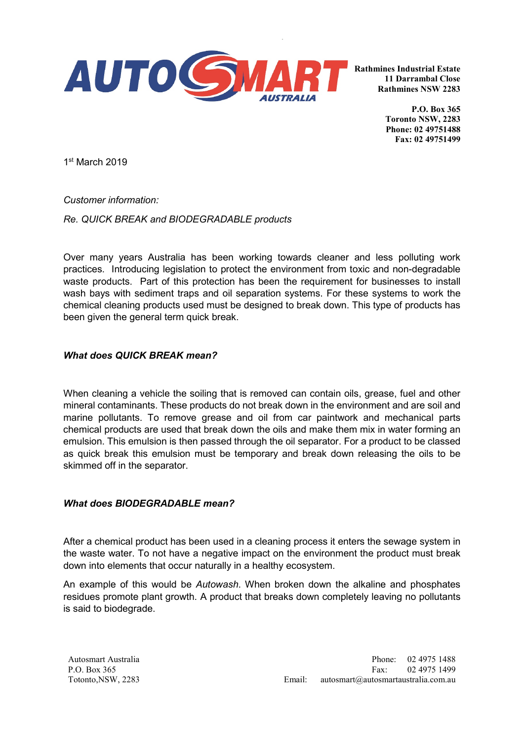

**Rathmines Industrial Estate 11 Darrambal Close Rathmines NSW 2283**

> **P.O. Box 365 Toronto NSW, 2283 Phone: 02 49751488 Fax: 02 49751499**

1st March 2019

*Customer information:*

*Re. QUICK BREAK and BIODEGRADABLE products*

Over many years Australia has been working towards cleaner and less polluting work practices. Introducing legislation to protect the environment from toxic and non-degradable waste products. Part of this protection has been the requirement for businesses to install wash bays with sediment traps and oil separation systems. For these systems to work the chemical cleaning products used must be designed to break down. This type of products has been given the general term quick break.

## *What does QUICK BREAK mean?*

When cleaning a vehicle the soiling that is removed can contain oils, grease, fuel and other mineral contaminants. These products do not break down in the environment and are soil and marine pollutants. To remove grease and oil from car paintwork and mechanical parts chemical products are used that break down the oils and make them mix in water forming an emulsion. This emulsion is then passed through the oil separator. For a product to be classed as quick break this emulsion must be temporary and break down releasing the oils to be skimmed off in the separator.

## *What does BIODEGRADABLE mean?*

After a chemical product has been used in a cleaning process it enters the sewage system in the waste water. To not have a negative impact on the environment the product must break down into elements that occur naturally in a healthy ecosystem.

An example of this would be *Autowash*. When broken down the alkaline and phosphates residues promote plant growth. A product that breaks down completely leaving no pollutants is said to biodegrade.

Autosmart Australia P.O. Box 365 Totonto,NSW, 2283